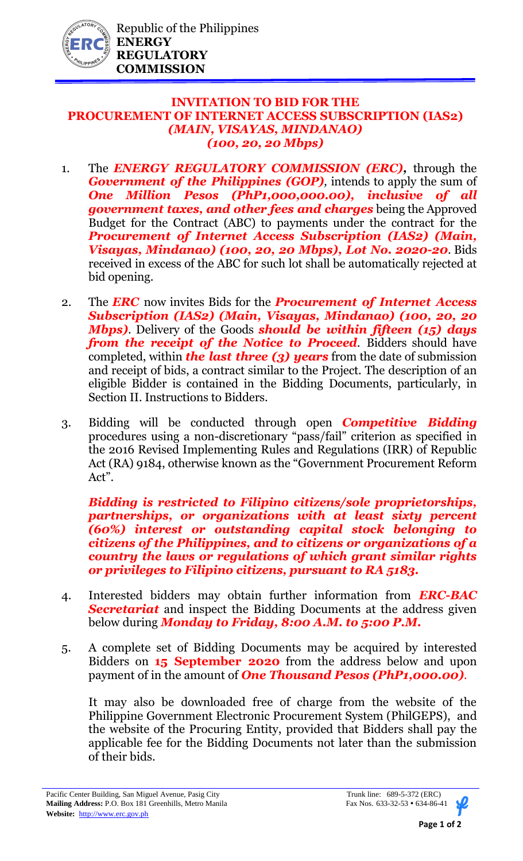

## **INVITATION TO BID FOR THE PROCUREMENT OF INTERNET ACCESS SUBSCRIPTION (IAS2)** *(MAIN, VISAYAS, MINDANAO) (100, 20, 20 Mbps)*

- 1. The *ENERGY REGULATORY COMMISSION (ERC),* through the *Government of the Philippines (GOP)*, intends to apply the sum of *One Million Pesos (PhP1,000,000.00), inclusive of all government taxes, and other fees and charges* being the Approved Budget for the Contract (ABC) to payments under the contract for the *Procurement of Internet Access Subscription (IAS2) (Main, Visayas, Mindanao) (100, 20, 20 Mbps), Lot No. 2020-20*. Bids received in excess of the ABC for such lot shall be automatically rejected at bid opening.
- 2. The *ERC* now invites Bids for the *Procurement of Internet Access Subscription (IAS2) (Main, Visayas, Mindanao) (100, 20, 20 Mbps)*. Delivery of the Goods *should be within fifteen (15) days from the receipt of the Notice to Proceed.* Bidders should have completed, within *the last three (3) years* from the date of submission and receipt of bids, a contract similar to the Project. The description of an eligible Bidder is contained in the Bidding Documents, particularly, in Section II. Instructions to Bidders.
- 3. Bidding will be conducted through open *Competitive Bidding* procedures using a non-discretionary "pass/fail" criterion as specified in the 2016 Revised Implementing Rules and Regulations (IRR) of Republic Act (RA) 9184, otherwise known as the "Government Procurement Reform Act".

*Bidding is restricted to Filipino citizens/sole proprietorships, partnerships, or organizations with at least sixty percent (60%) interest or outstanding capital stock belonging to citizens of the Philippines, and to citizens or organizations of a country the laws or regulations of which grant similar rights or privileges to Filipino citizens, pursuant to RA 5183.* 

- 4. Interested bidders may obtain further information from *ERC-BAC Secretariat* and inspect the Bidding Documents at the address given below during *Monday to Friday, 8:00 A.M. to 5:00 P.M.*
- 5. A complete set of Bidding Documents may be acquired by interested Bidders on **15 September 2020** from the address below and upon payment of in the amount of *One Thousand Pesos (PhP1,000.00).*

It may also be downloaded free of charge from the website of the Philippine Government Electronic Procurement System (PhilGEPS), and the website of the Procuring Entity, provided that Bidders shall pay the applicable fee for the Bidding Documents not later than the submission of their bids.